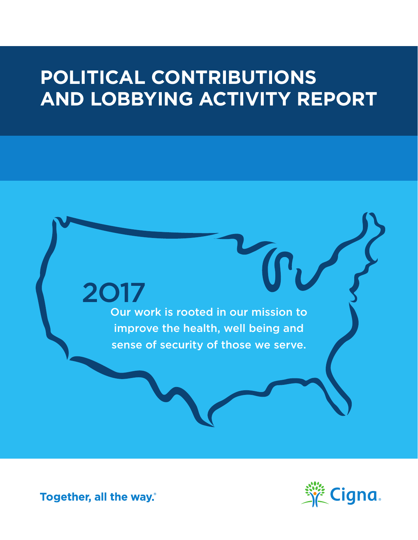# **POLITICAL CONTRIBUTIONS AND LOBBYING ACTIVITY REPORT**

2017 Our work is rooted in our mission to improve the health, well being and sense of security of those we serve.



Together, all the way.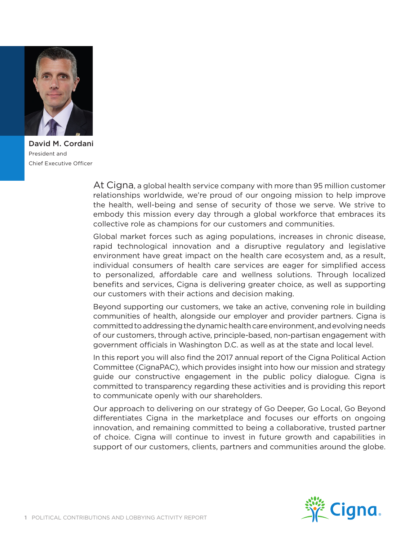

David M. Cordani President and Chief Executive Officer

At Cigna, a global health service company with more than 95 million customer relationships worldwide, we're proud of our ongoing mission to help improve the health, well-being and sense of security of those we serve. We strive to embody this mission every day through a global workforce that embraces its collective role as champions for our customers and communities.

Global market forces such as aging populations, increases in chronic disease, rapid technological innovation and a disruptive regulatory and legislative environment have great impact on the health care ecosystem and, as a result, individual consumers of health care services are eager for simplified access to personalized, affordable care and wellness solutions. Through localized benefits and services, Cigna is delivering greater choice, as well as supporting our customers with their actions and decision making.

Beyond supporting our customers, we take an active, convening role in building communities of health, alongside our employer and provider partners. Cigna is committed to addressing the dynamic health care environment, and evolving needs of our customers, through active, principle-based, non-partisan engagement with government officials in Washington D.C. as well as at the state and local level.

In this report you will also find the 2017 annual report of the Cigna Political Action Committee (CignaPAC), which provides insight into how our mission and strategy guide our constructive engagement in the public policy dialogue. Cigna is committed to transparency regarding these activities and is providing this report to communicate openly with our shareholders.

Our approach to delivering on our strategy of Go Deeper, Go Local, Go Beyond differentiates Cigna in the marketplace and focuses our efforts on ongoing innovation, and remaining committed to being a collaborative, trusted partner of choice. Cigna will continue to invest in future growth and capabilities in support of our customers, clients, partners and communities around the globe.

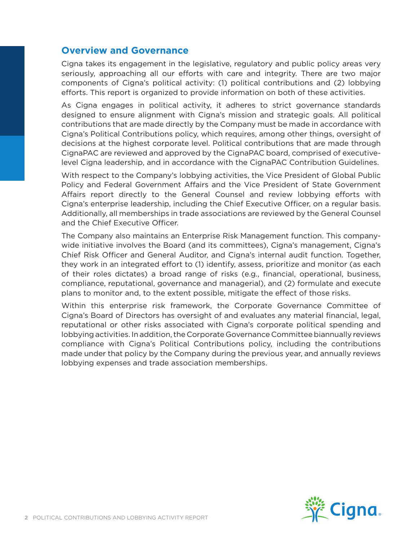#### **Overview and Governance**

Cigna takes its engagement in the legislative, regulatory and public policy areas very seriously, approaching all our efforts with care and integrity. There are two major components of Cigna's political activity: (1) political contributions and (2) lobbying efforts. This report is organized to provide information on both of these activities.

As Cigna engages in political activity, it adheres to strict governance standards designed to ensure alignment with Cigna's mission and strategic goals. All political contributions that are made directly by the Company must be made in accordance with Cigna's Political Contributions policy, which requires, among other things, oversight of decisions at the highest corporate level. Political contributions that are made through CignaPAC are reviewed and approved by the CignaPAC board, comprised of executivelevel Cigna leadership, and in accordance with the CignaPAC Contribution Guidelines.

With respect to the Company's lobbying activities, the Vice President of Global Public Policy and Federal Government Affairs and the Vice President of State Government Affairs report directly to the General Counsel and review lobbying efforts with Cigna's enterprise leadership, including the Chief Executive Officer, on a regular basis. Additionally, all memberships in trade associations are reviewed by the General Counsel and the Chief Executive Officer.

The Company also maintains an Enterprise Risk Management function. This companywide initiative involves the Board (and its committees), Cigna's management, Cigna's Chief Risk Officer and General Auditor, and Cigna's internal audit function. Together, they work in an integrated effort to (1) identify, assess, prioritize and monitor (as each of their roles dictates) a broad range of risks (e.g., financial, operational, business, compliance, reputational, governance and managerial), and (2) formulate and execute plans to monitor and, to the extent possible, mitigate the effect of those risks.

Within this enterprise risk framework, the Corporate Governance Committee of Cigna's Board of Directors has oversight of and evaluates any material financial, legal, reputational or other risks associated with Cigna's corporate political spending and lobbying activities. In addition, the Corporate Governance Committee biannually reviews compliance with Cigna's Political Contributions policy, including the contributions made under that policy by the Company during the previous year, and annually reviews lobbying expenses and trade association memberships.

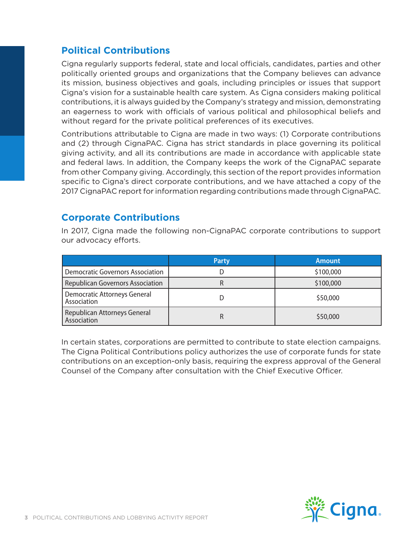# **Political Contributions**

Cigna regularly supports federal, state and local officials, candidates, parties and other politically oriented groups and organizations that the Company believes can advance its mission, business objectives and goals, including principles or issues that support Cigna's vision for a sustainable health care system. As Cigna considers making political contributions, it is always guided by the Company's strategy and mission, demonstrating an eagerness to work with officials of various political and philosophical beliefs and without regard for the private political preferences of its executives.

Contributions attributable to Cigna are made in two ways: (1) Corporate contributions and (2) through CignaPAC. Cigna has strict standards in place governing its political giving activity, and all its contributions are made in accordance with applicable state and federal laws. In addition, the Company keeps the work of the CignaPAC separate from other Company giving. Accordingly, this section of the report provides information specific to Cigna's direct corporate contributions, and we have attached a copy of the 2017 CignaPAC report for information regarding contributions made through CignaPAC.

#### **Corporate Contributions**

In 2017, Cigna made the following non-CignaPAC corporate contributions to support our advocacy efforts.

|                                             | <b>Party</b> | <b>Amount</b> |
|---------------------------------------------|--------------|---------------|
| <b>Democratic Governors Association</b>     |              | \$100,000     |
| <b>Republican Governors Association</b>     |              | \$100,000     |
| Democratic Attorneys General<br>Association |              | \$50,000      |
| Republican Attorneys General<br>Association |              | \$50,000      |

In certain states, corporations are permitted to contribute to state election campaigns. The Cigna Political Contributions policy authorizes the use of corporate funds for state contributions on an exception-only basis, requiring the express approval of the General Counsel of the Company after consultation with the Chief Executive Officer.

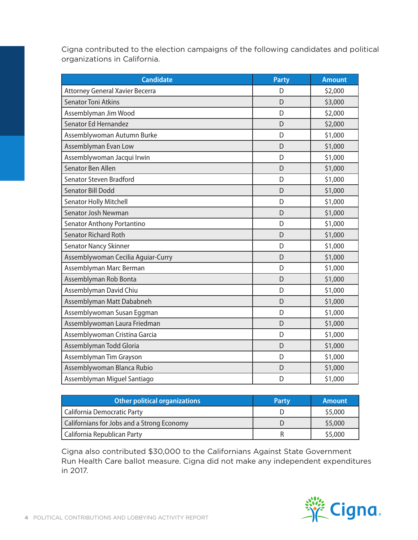Cigna contributed to the election campaigns of the following candidates and political organizations in California.

| <b>Candidate</b>                   | <b>Party</b> | <b>Amount</b> |
|------------------------------------|--------------|---------------|
| Attorney General Xavier Becerra    | D            | \$2,000       |
| <b>Senator Toni Atkins</b>         | D            | \$3,000       |
| Assemblyman Jim Wood               | D            | \$2,000       |
| Senator Ed Hernandez               | D            | \$2,000       |
| Assemblywoman Autumn Burke         | D            | \$1,000       |
| Assemblyman Evan Low               | D            | \$1,000       |
| Assemblywoman Jacqui Irwin         | D            | \$1,000       |
| Senator Ben Allen                  | D            | \$1,000       |
| <b>Senator Steven Bradford</b>     | D            | \$1,000       |
| <b>Senator Bill Dodd</b>           | D            | \$1,000       |
| <b>Senator Holly Mitchell</b>      | D            | \$1,000       |
| Senator Josh Newman                | D            | \$1,000       |
| Senator Anthony Portantino         | D            | \$1,000       |
| <b>Senator Richard Roth</b>        | D            | \$1,000       |
| <b>Senator Nancy Skinner</b>       | D            | \$1,000       |
| Assemblywoman Cecilia Aguiar-Curry | D            | \$1,000       |
| Assemblyman Marc Berman            | D            | \$1,000       |
| Assemblyman Rob Bonta              | D            | \$1,000       |
| Assemblyman David Chiu             | D            | \$1,000       |
| Assemblyman Matt Dababneh          | D            | \$1,000       |
| Assemblywoman Susan Eggman         | D            | \$1,000       |
| Assemblywoman Laura Friedman       | D            | \$1,000       |
| Assemblywoman Cristina Garcia      | D            | \$1,000       |
| Assemblyman Todd Gloria            | D            | \$1,000       |
| Assemblyman Tim Grayson            | D            | \$1,000       |
| Assemblywoman Blanca Rubio         | D            | \$1,000       |
| Assemblyman Miguel Santiago        | D            | \$1,000       |

| <b>Other political organizations</b>       | <b>Party</b> | <b>Amount</b> |
|--------------------------------------------|--------------|---------------|
| California Democratic Party                |              | \$5,000       |
| Californians for Jobs and a Strong Economy |              | \$5,000       |
| California Republican Party                |              | \$5,000       |

Cigna also contributed \$30,000 to the Californians Against State Government Run Health Care ballot measure. Cigna did not make any independent expenditures in 2017.

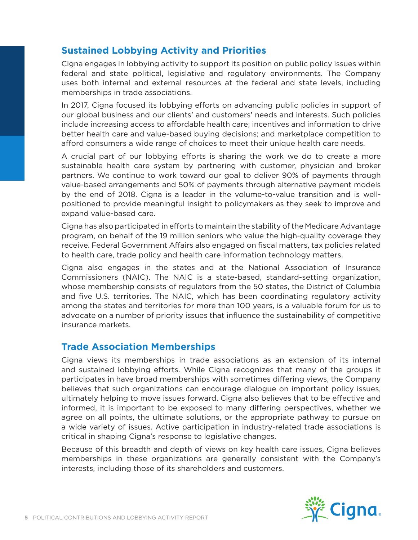# **Sustained Lobbying Activity and Priorities**

Cigna engages in lobbying activity to support its position on public policy issues within federal and state political, legislative and regulatory environments. The Company uses both internal and external resources at the federal and state levels, including memberships in trade associations.

In 2017, Cigna focused its lobbying efforts on advancing public policies in support of our global business and our clients' and customers' needs and interests. Such policies include increasing access to affordable health care; incentives and information to drive better health care and value-based buying decisions; and marketplace competition to afford consumers a wide range of choices to meet their unique health care needs.

A crucial part of our lobbying efforts is sharing the work we do to create a more sustainable health care system by partnering with customer, physician and broker partners. We continue to work toward our goal to deliver 90% of payments through value-based arrangements and 50% of payments through alternative payment models by the end of 2018. Cigna is a leader in the volume-to-value transition and is wellpositioned to provide meaningful insight to policymakers as they seek to improve and expand value-based care.

Cigna has also participated in efforts to maintain the stability of the Medicare Advantage program, on behalf of the 19 million seniors who value the high-quality coverage they receive. Federal Government Affairs also engaged on fiscal matters, tax policies related to health care, trade policy and health care information technology matters.

Cigna also engages in the states and at the National Association of Insurance Commissioners (NAIC). The NAIC is a state-based, standard-setting organization, whose membership consists of regulators from the 50 states, the District of Columbia and five U.S. territories. The NAIC, which has been coordinating regulatory activity among the states and territories for more than 100 years, is a valuable forum for us to advocate on a number of priority issues that influence the sustainability of competitive insurance markets.

## **Trade Association Memberships**

Cigna views its memberships in trade associations as an extension of its internal and sustained lobbying efforts. While Cigna recognizes that many of the groups it participates in have broad memberships with sometimes differing views, the Company believes that such organizations can encourage dialogue on important policy issues, ultimately helping to move issues forward. Cigna also believes that to be effective and informed, it is important to be exposed to many differing perspectives, whether we agree on all points, the ultimate solutions, or the appropriate pathway to pursue on a wide variety of issues. Active participation in industry-related trade associations is critical in shaping Cigna's response to legislative changes.

Because of this breadth and depth of views on key health care issues, Cigna believes memberships in these organizations are generally consistent with the Company's interests, including those of its shareholders and customers.

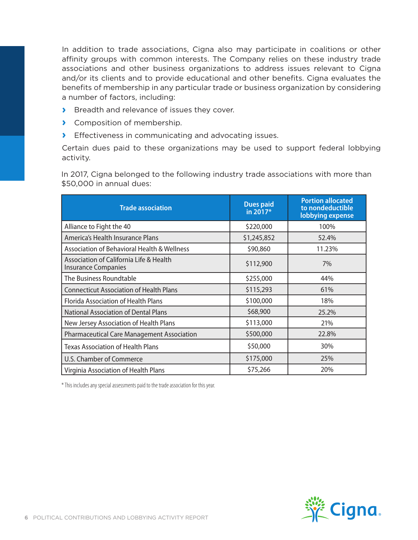In addition to trade associations, Cigna also may participate in coalitions or other affinity groups with common interests. The Company relies on these industry trade associations and other business organizations to address issues relevant to Cigna and/or its clients and to provide educational and other benefits. Cigna evaluates the benefits of membership in any particular trade or business organization by considering a number of factors, including:

- **›** Breadth and relevance of issues they cover.
- **›** Composition of membership.
- **›** Effectiveness in communicating and advocating issues.

Certain dues paid to these organizations may be used to support federal lobbying activity.

In 2017, Cigna belonged to the following industry trade associations with more than \$50,000 in annual dues:

| <b>Trade association</b>                                              | <b>Dues paid</b><br>in 2017* | <b>Portion allocated</b><br>to nondeductible<br>lobbying expense |
|-----------------------------------------------------------------------|------------------------------|------------------------------------------------------------------|
| Alliance to Fight the 40                                              | \$220,000                    | 100%                                                             |
| America's Health Insurance Plans                                      | \$1,245,852                  | 52.4%                                                            |
| Association of Behavioral Health & Wellness                           | \$90,860                     | 11.23%                                                           |
| Association of California Life & Health<br><b>Insurance Companies</b> | \$112,900                    | 7%                                                               |
| The Business Roundtable                                               | \$255,000                    | 44%                                                              |
| <b>Connecticut Association of Health Plans</b>                        | \$115,293                    | 61%                                                              |
| <b>Florida Association of Health Plans</b>                            | \$100,000                    | 18%                                                              |
| <b>National Association of Dental Plans</b>                           | \$68,900                     | 25.2%                                                            |
| New Jersey Association of Health Plans                                | \$113,000                    | 21%                                                              |
| <b>Pharmaceutical Care Management Association</b>                     | \$500,000                    | 22.8%                                                            |
| <b>Texas Association of Health Plans</b>                              | \$50,000                     | 30%                                                              |
| U.S. Chamber of Commerce                                              | \$175,000                    | 25%                                                              |
| Virginia Association of Health Plans                                  | \$75,266                     | 20%                                                              |

\* This includes any special assessments paid to the trade association for this year.

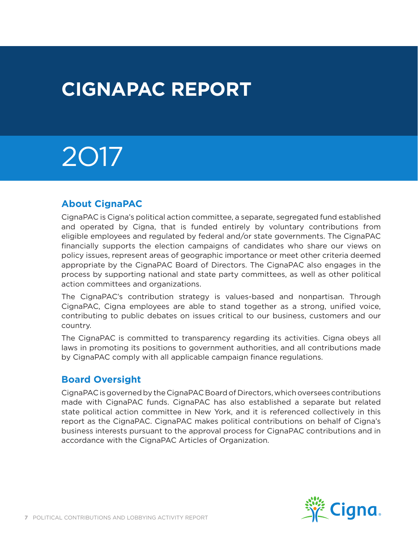# **CIGNAPAC REPORT**

# 2O17

## **About CignaPAC**

CignaPAC is Cigna's political action committee, a separate, segregated fund established and operated by Cigna, that is funded entirely by voluntary contributions from eligible employees and regulated by federal and/or state governments. The CignaPAC financially supports the election campaigns of candidates who share our views on policy issues, represent areas of geographic importance or meet other criteria deemed appropriate by the CignaPAC Board of Directors. The CignaPAC also engages in the process by supporting national and state party committees, as well as other political action committees and organizations.

The CignaPAC's contribution strategy is values-based and nonpartisan. Through CignaPAC, Cigna employees are able to stand together as a strong, unified voice, contributing to public debates on issues critical to our business, customers and our country.

The CignaPAC is committed to transparency regarding its activities. Cigna obeys all laws in promoting its positions to government authorities, and all contributions made by CignaPAC comply with all applicable campaign finance regulations.

#### **Board Oversight**

CignaPAC is governed by the CignaPAC Board of Directors, which oversees contributions made with CignaPAC funds. CignaPAC has also established a separate but related state political action committee in New York, and it is referenced collectively in this report as the CignaPAC. CignaPAC makes political contributions on behalf of Cigna's business interests pursuant to the approval process for CignaPAC contributions and in accordance with the CignaPAC Articles of Organization.

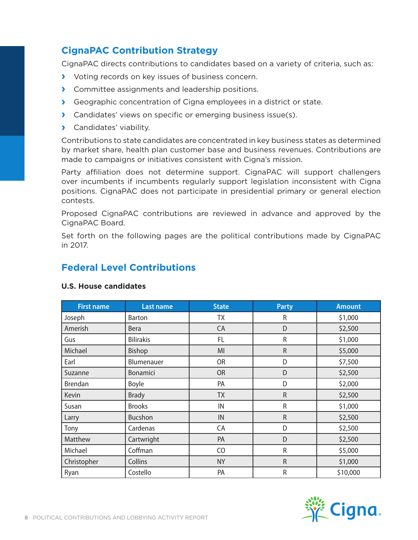# **CignaPAC Contribution Strategy**

CignaPAC directs contributions to candidates based on a variety of criteria, such as:

- **›** Voting records on key issues of business concern.
- **›** Committee assignments and leadership positions.
- **›** Geographic concentration of Cigna employees in a district or state.
- **›** Candidates' views on specific or emerging business issue(s).
- **›** Candidates' viability.

Contributions to state candidates are concentrated in key business states as determined by market share, health plan customer base and business revenues. Contributions are made to campaigns or initiatives consistent with Cigna's mission.

Party affiliation does not determine support. CignaPAC will support challengers over incumbents if incumbents regularly support legislation inconsistent with Cigna positions. CignaPAC does not participate in presidential primary or general election contests.

Proposed CignaPAC contributions are reviewed in advance and approved by the CignaPAC Board.

Set forth on the following pages are the political contributions made by CignaPAC in 2017.

### **Federal Level Contributions**

| <b>First name</b> | <b>Last name</b> | <b>State</b> | <b>Party</b> | <b>Amount</b> |
|-------------------|------------------|--------------|--------------|---------------|
| Joseph            | <b>Barton</b>    | TX           | R            | \$1,000       |
| Amerish           | <b>Bera</b>      | CA           | D            | \$2,500       |
| Gus               | <b>Bilirakis</b> | FL           | R            | \$1,000       |
| Michael           | Bishop           | MI           | $\mathsf{R}$ | \$5,000       |
| Earl              | Blumenauer       | <b>OR</b>    | D            | \$7,500       |
| Suzanne           | <b>Bonamici</b>  | <b>OR</b>    | D            | \$2,500       |
| <b>Brendan</b>    | <b>Boyle</b>     | PA           | D            | \$2,000       |
| Kevin             | <b>Brady</b>     | <b>TX</b>    | $\mathsf{R}$ | \$2,500       |
| Susan             | <b>Brooks</b>    | IN           | $\mathsf R$  | \$1,000       |
| Larry             | <b>Bucshon</b>   | ${\sf IN}$   | $\mathsf{R}$ | \$2,500       |
| Tony              | Cardenas         | CA           | D            | \$2,500       |
| Matthew           | Cartwright       | PA           | D            | \$2,500       |
| Michael           | Coffman          | CO           | $\mathsf R$  | \$5,000       |
| Christopher       | Collins          | <b>NY</b>    | $\mathsf{R}$ | \$1,000       |
| Ryan              | Costello         | PA           | $\mathsf R$  | \$10,000      |

#### **U.S. House candidates**

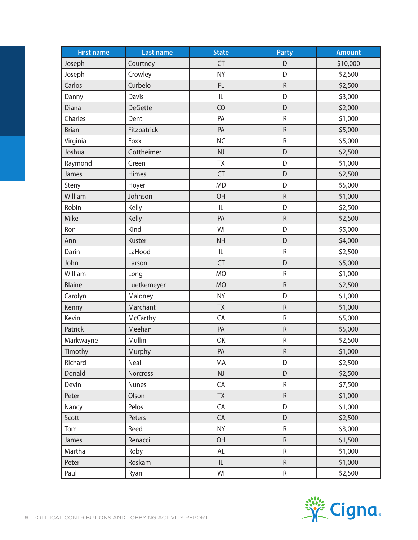| <b>First name</b> | <b>Last name</b> | <b>State</b> | <b>Party</b> | <b>Amount</b> |
|-------------------|------------------|--------------|--------------|---------------|
| Joseph            | Courtney         | <b>CT</b>    | D            | \$10,000      |
| Joseph            | Crowley          | <b>NY</b>    | D            | \$2,500       |
| Carlos            | Curbelo          | FL           | ${\sf R}$    | \$2,500       |
| Danny             | Davis            | L            | D            | \$3,000       |
| Diana             | <b>DeGette</b>   | CO           | D            | \$2,000       |
| Charles           | Dent             | PA           | ${\sf R}$    | \$1,000       |
| <b>Brian</b>      | Fitzpatrick      | PA           | ${\sf R}$    | \$5,000       |
| Virginia          | Foxx             | <b>NC</b>    | ${\sf R}$    | \$5,000       |
| Joshua            | Gottheimer       | <b>NJ</b>    | D            | \$2,500       |
| Raymond           | Green            | <b>ΤΧ</b>    | D            | \$1,000       |
| James             | Himes            | CT           | D            | \$2,500       |
| Steny             | Hoyer            | <b>MD</b>    | D            | \$5,000       |
| William           | Johnson          | OH           | ${\sf R}$    | \$1,000       |
| Robin             | Kelly            | IL           | D            | \$2,500       |
| Mike              | Kelly            | PA           | $\mathsf R$  | \$2,500       |
| Ron               | Kind             | WI           | D            | \$5,000       |
| Ann               | Kuster           | <b>NH</b>    | D            | \$4,000       |
| Darin             | LaHood           | IL.          | ${\sf R}$    | \$2,500       |
| John              | Larson           | <b>CT</b>    | D            | \$5,000       |
| William           | Long             | <b>MO</b>    | ${\sf R}$    | \$1,000       |
| <b>Blaine</b>     | Luetkemeyer      | <b>MO</b>    | ${\sf R}$    | \$2,500       |
| Carolyn           | Maloney          | <b>NY</b>    | D            | \$1,000       |
| Kenny             | Marchant         | <b>TX</b>    | ${\sf R}$    | \$1,000       |
| Kevin             | <b>McCarthy</b>  | CA           | ${\sf R}$    | \$5,000       |
| Patrick           | Meehan           | PA           | ${\sf R}$    | \$5,000       |
| Markwayne         | Mullin           | OK           | ${\sf R}$    | \$2,500       |
| Timothy           | Murphy           | PA           | ${\sf R}$    | \$1,000       |
| Richard           | Neal             | MA           | D            | \$2,500       |
| Donald            | Norcross         | NJ           | D            | \$2,500       |
| Devin             | <b>Nunes</b>     | CA           | $\sf R$      | \$7,500       |
| Peter             | Olson            | <b>TX</b>    | ${\sf R}$    | \$1,000       |
| Nancy             | Pelosi           | CA           | D            | \$1,000       |
| Scott             | Peters           | CA           | D            | \$2,500       |
| Tom               | Reed             | <b>NY</b>    | R            | \$3,000       |
| James             | Renacci          | <b>OH</b>    | ${\sf R}$    | \$1,500       |
| Martha            | Roby             | AL           | R            | \$1,000       |
| Peter             | Roskam           | IL           | ${\sf R}$    | \$1,000       |
| Paul              | Ryan             | WI           | ${\sf R}$    | \$2,500       |

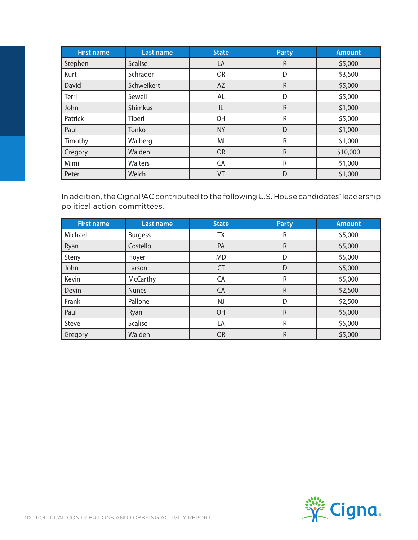| <b>First name</b> | Last name      | <b>State</b> | <b>Party</b> | <b>Amount</b> |
|-------------------|----------------|--------------|--------------|---------------|
| Stephen           | <b>Scalise</b> | LA           | $\mathsf R$  | \$5,000       |
| Kurt              | Schrader       | <b>OR</b>    | D            | \$3,500       |
| David             | Schweikert     | AZ           | $\mathsf R$  | \$5,000       |
| Terri             | Sewell         | AL           | D            | \$5,000       |
| John              | <b>Shimkus</b> | IL           | $\mathsf R$  | \$1,000       |
| Patrick           | Tiberi         | OH           | R            | \$5,000       |
| Paul              | Tonko          | <b>NY</b>    | D            | \$1,000       |
| Timothy           | Walberg        | MI           | R            | \$1,000       |
| Gregory           | Walden         | <b>OR</b>    | $\mathsf R$  | \$10,000      |
| Mimi              | Walters        | CA           | R            | \$1,000       |
| Peter             | Welch          | VT           | D            | \$1,000       |

In addition, the CignaPAC contributed to the following U.S. House candidates' leadership political action committees.

| <b>First name</b> | <b>Last name</b> | <b>State</b> | <b>Party</b> | <b>Amount</b> |
|-------------------|------------------|--------------|--------------|---------------|
| Michael           | <b>Burgess</b>   | TХ           | R            | \$5,000       |
| Ryan              | Costello         | PA           | $\mathsf R$  | \$5,000       |
| Steny             | Hoyer            | <b>MD</b>    | D            | \$5,000       |
| John              | Larson           | <b>CT</b>    | D            | \$5,000       |
| Kevin             | McCarthy         | CA           | R            | \$5,000       |
| Devin             | <b>Nunes</b>     | CA           | $\mathsf R$  | \$2,500       |
| Frank             | Pallone          | <b>NJ</b>    | D            | \$2,500       |
| Paul              | Ryan             | OH           | $\mathsf R$  | \$5,000       |
| Steve             | Scalise          | LA           | R            | \$5,000       |
| Gregory           | Walden           | <b>OR</b>    | $\mathsf R$  | \$5,000       |

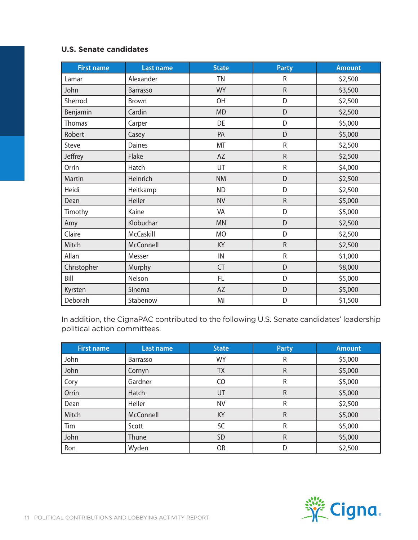#### **U.S. Senate candidates**

| <b>First name</b> | <b>Last name</b> | <b>State</b>   | <b>Party</b> | <b>Amount</b> |
|-------------------|------------------|----------------|--------------|---------------|
| Lamar             | Alexander        | <b>TN</b>      | R            | \$2,500       |
| John              | <b>Barrasso</b>  | <b>WY</b>      | $\mathsf R$  | \$3,500       |
| Sherrod           | Brown            | <b>OH</b>      | D            | \$2,500       |
| Benjamin          | Cardin           | <b>MD</b>      | D            | \$2,500       |
| Thomas            | Carper           | DE             | D            | \$5,000       |
| Robert            | Casey            | PA             | D            | \$5,000       |
| Steve             | Daines           | MT             | ${\sf R}$    | \$2,500       |
| Jeffrey           | Flake            | AZ             | $\mathsf R$  | \$2,500       |
| Orrin             | Hatch            | UT             | $\mathsf R$  | \$4,000       |
| Martin            | Heinrich         | <b>NM</b>      | D            | \$2,500       |
| Heidi             | Heitkamp         | <b>ND</b>      | D            | \$2,500       |
| Dean              | Heller           | <b>NV</b>      | ${\sf R}$    | \$5,000       |
| Timothy           | Kaine            | VA             | D            | \$5,000       |
| Amy               | Klobuchar        | <b>MN</b>      | D            | \$2,500       |
| Claire            | McCaskill        | <b>MO</b>      | D            | \$2,500       |
| Mitch             | McConnell        | KY             | $\mathsf R$  | \$2,500       |
| Allan             | Messer           | IN             | ${\sf R}$    | \$1,000       |
| Christopher       | Murphy           | <b>CT</b>      | D            | \$8,000       |
| Bill              | Nelson           | FL.            | D            | \$5,000       |
| Kyrsten           | Sinema           | AZ             | D            | \$5,000       |
| Deborah           | Stabenow         | M <sub>l</sub> | D            | \$1,500       |

In addition, the CignaPAC contributed to the following U.S. Senate candidates' leadership political action committees.

| <b>First name</b> | <b>Last name</b> | <b>State</b> | <b>Party</b> | <b>Amount</b> |
|-------------------|------------------|--------------|--------------|---------------|
| John              | Barrasso         | <b>WY</b>    | R            | \$5,000       |
| John              | Cornyn           | TΧ           | R            | \$5,000       |
| Cory              | Gardner          | CO           | R            | \$5,000       |
| Orrin             | Hatch            | UT           | R            | \$5,000       |
| Dean              | Heller           | <b>NV</b>    | R            | \$2,500       |
| Mitch             | McConnell        | <b>KY</b>    | $\mathsf R$  | \$5,000       |
| Tim               | Scott            | SC           | R            | \$5,000       |
| John              | Thune            | <b>SD</b>    | R            | \$5,000       |
| Ron               | Wyden            | <b>OR</b>    | D            | \$2,500       |

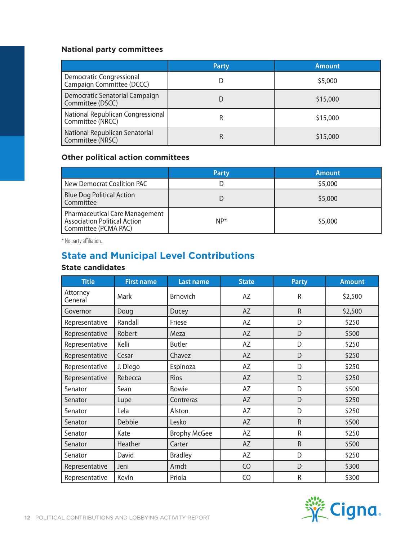#### **National party committees**

|                                                       | <b>Party</b> | <b>Amount</b> |
|-------------------------------------------------------|--------------|---------------|
| Democratic Congressional<br>Campaign Committee (DCCC) |              | \$5,000       |
| Democratic Senatorial Campaign<br>Committee (DSCC)    |              | \$15,000      |
| National Republican Congressional<br>Committee (NRCC) |              | \$15,000      |
| National Republican Senatorial<br>Committee (NRSC)    | ĸ            | \$15,000      |

#### **Other political action committees**

|                                                                                                      | <b>Party</b> | <b>Amount</b> |
|------------------------------------------------------------------------------------------------------|--------------|---------------|
| New Democrat Coalition PAC                                                                           |              | \$5,000       |
| <b>Blue Dog Political Action</b><br>Committee                                                        |              | \$5,000       |
| <b>Pharmaceutical Care Management</b><br><b>Association Political Action</b><br>Committee (PCMA PAC) | $NP*$        | \$5,000       |

\* No party affiliation.

# **State and Municipal Level Contributions**

#### **State candidates**

| <b>Title</b>        | <b>First name</b> | <b>Last name</b>    | <b>State</b>   | <b>Party</b> | <b>Amount</b> |
|---------------------|-------------------|---------------------|----------------|--------------|---------------|
| Attorney<br>General | Mark              | <b>Brnovich</b>     | AZ             | R            | \$2,500       |
| Governor            | Doug              | Ducey               | AZ             | $\mathsf R$  | \$2,500       |
| Representative      | Randall           | Friese              | AZ             | D            | \$250         |
| Representative      | Robert            | Meza                | AZ             | D            | \$500         |
| Representative      | Kelli             | <b>Butler</b>       | AZ             | D            | \$250         |
| Representative      | Cesar             | Chavez              | AZ             | D            | \$250         |
| Representative      | J. Diego          | Espinoza            | AZ             | D            | \$250         |
| Representative      | Rebecca           | Rios                | <b>AZ</b>      | D            | \$250         |
| Senator             | Sean              | <b>Bowie</b>        | AZ             | D            | \$500         |
| Senator             | Lupe              | Contreras           | AZ             | D            | \$250         |
| Senator             | Lela              | Alston              | AZ             | D            | \$250         |
| Senator             | Debbie            | Lesko               | AZ             | $\mathsf R$  | \$500         |
| Senator             | Kate              | <b>Brophy McGee</b> | AZ             | $\mathsf{R}$ | \$250         |
| Senator             | Heather           | Carter              | AZ             | $\mathsf R$  | \$500         |
| Senator             | David             | <b>Bradley</b>      | AZ             | D            | \$250         |
| Representative      | Jeni              | Arndt               | C <sub>O</sub> | D            | \$300         |
| Representative      | Kevin             | Priola              | CO             | ${\sf R}$    | \$300         |

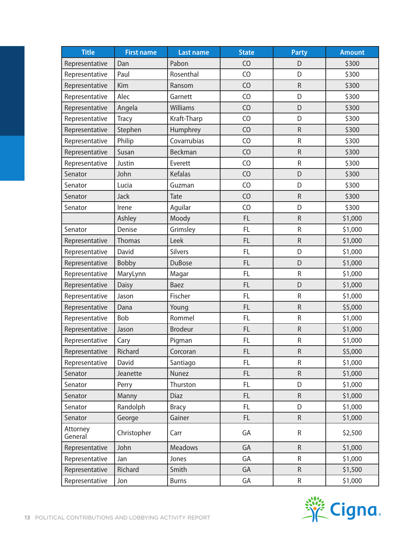| <b>Title</b>        | <b>First name</b> | <b>Last name</b> | <b>State</b>   | <b>Party</b> | <b>Amount</b> |
|---------------------|-------------------|------------------|----------------|--------------|---------------|
| Representative      | Dan               | Pabon            | CO             | D            | \$300         |
| Representative      | Paul              | Rosenthal        | C <sub>O</sub> | D            | \$300         |
| Representative      | Kim               | Ransom           | CO             | ${\sf R}$    | \$300         |
| Representative      | Alec              | Garnett          | CO             | D            | \$300         |
| Representative      | Angela            | Williams         | CO             | D            | \$300         |
| Representative      | <b>Tracy</b>      | Kraft-Tharp      | CO             | D            | \$300         |
| Representative      | Stephen           | Humphrey         | CO             | ${\sf R}$    | \$300         |
| Representative      | Philip            | Covarrubias      | CO             | ${\sf R}$    | \$300         |
| Representative      | Susan             | Beckman          | CO             | $\mathsf R$  | \$300         |
| Representative      | Justin            | Everett          | CO             | ${\sf R}$    | \$300         |
| Senator             | John              | Kefalas          | CO             | D            | \$300         |
| Senator             | Lucia             | Guzman           | CO             | D            | \$300         |
| Senator             | Jack              | Tate             | CO             | $\mathsf R$  | \$300         |
| Senator             | Irene             | Aguilar          | CO             | D            | \$300         |
|                     | Ashley            | Moody            | FL             | ${\sf R}$    | \$1,000       |
| Senator             | Denise            | Grimsley         | <b>FL</b>      | R            | \$1,000       |
| Representative      | Thomas            | Leek             | <b>FL</b>      | ${\sf R}$    | \$1,000       |
| Representative      | David             | Silvers          | FL             | D            | \$1,000       |
| Representative      | Bobby             | <b>DuBose</b>    | <b>FL</b>      | D            | \$1,000       |
| Representative      | MaryLynn          | Magar            | <b>FL</b>      | $\mathsf R$  | \$1,000       |
| Representative      | <b>Daisy</b>      | Baez             | FL             | D            | \$1,000       |
| Representative      | Jason             | Fischer          | <b>FL</b>      | ${\sf R}$    | \$1,000       |
| Representative      | Dana              | Young            | FL             | $\mathsf R$  | \$5,000       |
| Representative      | Bob               | Rommel           | <b>FL</b>      | ${\sf R}$    | \$1,000       |
| Representative      | Jason             | <b>Brodeur</b>   | FL             | ${\sf R}$    | \$1,000       |
| Representative      | Cary              | Pigman           | <b>FL</b>      | ${\sf R}$    | \$1,000       |
| Representative      | Richard           | Corcoran         | <b>FL</b>      | R            | \$5,000       |
| Representative      | David             | Santiago         | FL.            | R            | \$1,000       |
| Senator             | Jeanette          | Nunez            | FL.            | ${\sf R}$    | \$1,000       |
| Senator             | Perry             | Thurston         | FL.            | D            | \$1,000       |
| Senator             | Manny             | <b>Diaz</b>      | FL.            | ${\sf R}$    | \$1,000       |
| Senator             | Randolph          | <b>Bracy</b>     | FL.            | D            | \$1,000       |
| Senator             | George            | Gainer           | FL.            | $\mathsf R$  | \$1,000       |
| Attorney<br>General | Christopher       | Carr             | GA             | ${\sf R}$    | \$2,500       |
| Representative      | John              | <b>Meadows</b>   | GA             | ${\sf R}$    | \$1,000       |
| Representative      | Jan               | Jones            | GA             | R            | \$1,000       |
| Representative      | Richard           | Smith            | GA             | $\mathsf R$  | \$1,500       |
| Representative      | Jon               | <b>Burns</b>     | GA             | ${\sf R}$    | \$1,000       |

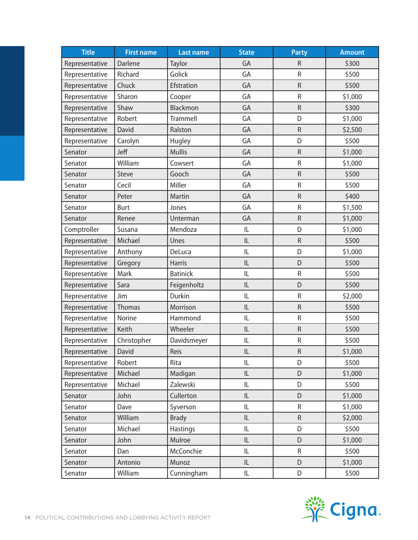| <b>Title</b>   | <b>First name</b> | <b>Last name</b> | <b>State</b> | <b>Party</b> | <b>Amount</b> |
|----------------|-------------------|------------------|--------------|--------------|---------------|
| Representative | Darlene           | Taylor           | GA           | $\mathsf{R}$ | \$300         |
| Representative | Richard           | Golick           | GA           | $\mathsf R$  | \$500         |
| Representative | Chuck             | Efstration       | GA           | ${\sf R}$    | \$500         |
| Representative | Sharon            | Cooper           | GA           | ${\sf R}$    | \$1,000       |
| Representative | Shaw              | Blackmon         | GA           | ${\sf R}$    | \$300         |
| Representative | Robert            | Trammell         | GA           | D            | \$1,000       |
| Representative | David             | Ralston          | GA           | $\mathsf R$  | \$2,500       |
| Representative | Carolyn           | Hugley           | GA           | D            | \$500         |
| Senator        | Jeff              | <b>Mullis</b>    | GA           | ${\sf R}$    | \$1,000       |
| Senator        | William           | Cowsert          | GA           | ${\sf R}$    | \$1,000       |
| Senator        | Steve             | Gooch            | GA           | ${\sf R}$    | \$500         |
| Senator        | Cecil             | Miller           | GA           | ${\sf R}$    | \$500         |
| Senator        | Peter             | Martin           | GA           | ${\sf R}$    | \$400         |
| Senator        | Burt              | Jones            | GA           | ${\sf R}$    | \$1,500       |
| Senator        | Renee             | Unterman         | GA           | ${\sf R}$    | \$1,000       |
| Comptroller    | Susana            | Mendoza          | IL           | D            | \$1,000       |
| Representative | Michael           | Unes             | IL           | ${\sf R}$    | \$500         |
| Representative | Anthony           | DeLuca           | IL           | D            | \$1,000       |
| Representative | Gregory           | <b>Harris</b>    | L            | D            | \$500         |
| Representative | Mark              | <b>Batinick</b>  | IL           | $\mathsf R$  | \$500         |
| Representative | Sara              | Feigenholtz      | L            | D            | \$500         |
| Representative | Jim               | Durkin           | IL           | ${\sf R}$    | \$2,000       |
| Representative | Thomas            | Morrison         | IL           | ${\sf R}$    | \$500         |
| Representative | <b>Norine</b>     | Hammond          | IL           | $\mathsf R$  | \$500         |
| Representative | Keith             | Wheeler          | IL           | ${\sf R}$    | \$500         |
| Representative | Christopher       | Davidsmeyer      | IL           | ${\sf R}$    | \$500         |
| Representative | David             | Reis             | IL           | ${\sf R}$    | \$1,000       |
| Representative | Robert            | Rita             | IL           | D            | \$500         |
| Representative | Michael           | Madigan          | IL           | D            | \$1,000       |
| Representative | Michael           | Zalewski         | IL           | D            | \$500         |
| Senator        | John              | Cullerton        | IL           | D            | \$1,000       |
| Senator        | Dave              | Syverson         | IL           | R            | \$1,000       |
| Senator        | William           | <b>Brady</b>     | IL           | ${\sf R}$    | \$2,000       |
| Senator        | Michael           | <b>Hastings</b>  | IL           | D            | \$500         |
| Senator        | John              | Mulroe           | IL           | D            | \$1,000       |
| Senator        | Dan               | McConchie        | IL           | ${\sf R}$    | \$500         |
| Senator        | Antonio           | Munoz            | IL           | D            | \$1,000       |
| Senator        | William           | Cunningham       | IL           | D            | \$500         |

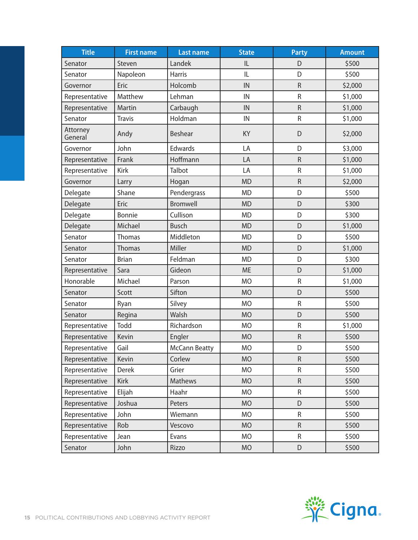| <b>Title</b>        | <b>First name</b> | <b>Last name</b>     | <b>State</b> | <b>Party</b> | <b>Amount</b> |
|---------------------|-------------------|----------------------|--------------|--------------|---------------|
| Senator             | Steven            | Landek               | IL           | D            | \$500         |
| Senator             | Napoleon          | <b>Harris</b>        | IL           | D            | \$500         |
| Governor            | Eric              | Holcomb              | IN           | $\mathsf R$  | \$2,000       |
| Representative      | Matthew           | Lehman               | IN           | $\mathsf R$  | \$1,000       |
| Representative      | Martin            | Carbaugh             | IN           | ${\sf R}$    | \$1,000       |
| Senator             | <b>Travis</b>     | Holdman              | IN           | ${\sf R}$    | \$1,000       |
| Attorney<br>General | Andy              | <b>Beshear</b>       | KY           | D            | \$2,000       |
| Governor            | John              | Edwards              | LA           | D            | \$3,000       |
| Representative      | Frank             | Hoffmann             | LA           | ${\sf R}$    | \$1,000       |
| Representative      | Kirk              | Talbot               | LA           | $\mathsf R$  | \$1,000       |
| Governor            | Larry             | Hogan                | <b>MD</b>    | ${\sf R}$    | \$2,000       |
| Delegate            | Shane             | Pendergrass          | <b>MD</b>    | D            | \$500         |
| Delegate            | Eric              | <b>Bromwell</b>      | <b>MD</b>    | D            | \$300         |
| Delegate            | Bonnie            | Cullison             | <b>MD</b>    | D            | \$300         |
| Delegate            | Michael           | <b>Busch</b>         | <b>MD</b>    | D            | \$1,000       |
| Senator             | Thomas            | Middleton            | <b>MD</b>    | D            | \$500         |
| Senator             | Thomas            | Miller               | <b>MD</b>    | D            | \$1,000       |
| Senator             | <b>Brian</b>      | Feldman              | <b>MD</b>    | D            | \$300         |
| Representative      | Sara              | Gideon               | <b>ME</b>    | D            | \$1,000       |
| Honorable           | Michael           | Parson               | <b>MO</b>    | ${\sf R}$    | \$1,000       |
| Senator             | Scott             | Sifton               | <b>MO</b>    | D            | \$500         |
| Senator             | Ryan              | Silvey               | <b>MO</b>    | ${\sf R}$    | \$500         |
| Senator             | Regina            | Walsh                | <b>MO</b>    | D            | \$500         |
| Representative      | Todd              | Richardson           | <b>MO</b>    | ${\sf R}$    | \$1,000       |
| Representative      | Kevin             | Engler               | <b>MO</b>    | ${\sf R}$    | \$500         |
| Representative      | Gail              | <b>McCann Beatty</b> | <b>MO</b>    | D            | \$500         |
| Representative      | Kevin             | Corlew               | <b>MO</b>    | ${\sf R}$    | \$500         |
| Representative      | <b>Derek</b>      | Grier                | <b>MO</b>    | R            | \$500         |
| Representative      | <b>Kirk</b>       | Mathews              | <b>MO</b>    | $\mathsf R$  | \$500         |
| Representative      | Elijah            | Haahr                | <b>MO</b>    | ${\sf R}$    | \$500         |
| Representative      | Joshua            | Peters               | <b>MO</b>    | D            | \$500         |
| Representative      | John              | Wiemann              | <b>MO</b>    | R            | \$500         |
| Representative      | Rob               | Vescovo              | <b>MO</b>    | R            | \$500         |
| Representative      | Jean              | Evans                | <b>MO</b>    | R            | \$500         |
| Senator             | John              | Rizzo                | <b>MO</b>    | $\mathsf D$  | \$500         |

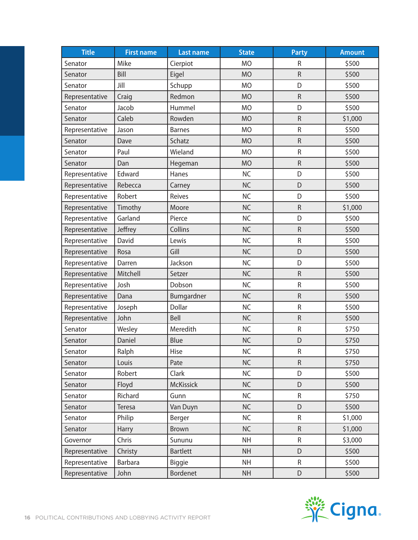| <b>Title</b>   | <b>First name</b> | <b>Last name</b> | <b>State</b> | <b>Party</b> | <b>Amount</b> |
|----------------|-------------------|------------------|--------------|--------------|---------------|
| Senator        | Mike              | Cierpiot         | <b>MO</b>    | R            | \$500         |
| Senator        | Bill              | Eigel            | <b>MO</b>    | $\mathsf R$  | \$500         |
| Senator        | Jill              | Schupp           | <b>MO</b>    | D            | \$500         |
| Representative | Craig             | Redmon           | <b>MO</b>    | $\mathsf R$  | \$500         |
| Senator        | Jacob             | Hummel           | <b>MO</b>    | D            | \$500         |
| Senator        | Caleb             | Rowden           | <b>MO</b>    | $\mathsf R$  | \$1,000       |
| Representative | Jason             | <b>Barnes</b>    | <b>MO</b>    | ${\sf R}$    | \$500         |
| Senator        | Dave              | Schatz           | <b>MO</b>    | ${\sf R}$    | \$500         |
| Senator        | Paul              | Wieland          | <b>MO</b>    | $\mathsf R$  | \$500         |
| Senator        | Dan               | Hegeman          | <b>MO</b>    | $\mathsf R$  | \$500         |
| Representative | Edward            | Hanes            | <b>NC</b>    | D            | \$500         |
| Representative | Rebecca           | Carney           | <b>NC</b>    | D            | \$500         |
| Representative | Robert            | Reives           | <b>NC</b>    | D            | \$500         |
| Representative | Timothy           | Moore            | <b>NC</b>    | ${\sf R}$    | \$1,000       |
| Representative | Garland           | Pierce           | <b>NC</b>    | D            | \$500         |
| Representative | Jeffrey           | Collins          | <b>NC</b>    | ${\sf R}$    | \$500         |
| Representative | David             | Lewis            | <b>NC</b>    | ${\sf R}$    | \$500         |
| Representative | Rosa              | Gill             | <b>NC</b>    | D            | \$500         |
| Representative | Darren            | Jackson          | <b>NC</b>    | D            | \$500         |
| Representative | Mitchell          | Setzer           | <b>NC</b>    | $\mathsf R$  | \$500         |
| Representative | Josh              | Dobson           | <b>NC</b>    | $\mathsf R$  | \$500         |
| Representative | Dana              | Bumgardner       | <b>NC</b>    | $\mathsf R$  | \$500         |
| Representative | Joseph            | Dollar           | <b>NC</b>    | ${\sf R}$    | \$500         |
| Representative | John              | Bell             | <b>NC</b>    | $\mathsf R$  | \$500         |
| Senator        | Wesley            | Meredith         | <b>NC</b>    | ${\sf R}$    | \$750         |
| Senator        | Daniel            | Blue             | <b>NC</b>    | D            | \$750         |
| Senator        | Ralph             | Hise             | <b>NC</b>    | R            | \$750         |
| Senator        | Louis             | Pate             | <b>NC</b>    | R            | \$750         |
| Senator        | Robert            | Clark            | NC           | D            | \$500         |
| Senator        | Floyd             | <b>McKissick</b> | NC           | D            | \$500         |
| Senator        | Richard           | Gunn             | <b>NC</b>    | R            | \$750         |
| Senator        | Teresa            | Van Duyn         | NC           | D            | \$500         |
| Senator        | Philip            | Berger           | <b>NC</b>    | R            | \$1,000       |
| Senator        | Harry             | <b>Brown</b>     | <b>NC</b>    | $\mathsf R$  | \$1,000       |
| Governor       | Chris             | Sununu           | <b>NH</b>    | R            | \$3,000       |
| Representative | Christy           | <b>Bartlett</b>  | <b>NH</b>    | D            | \$500         |
| Representative | <b>Barbara</b>    | Biggie           | <b>NH</b>    | $\mathsf R$  | \$500         |
| Representative | John              | Bordenet         | <b>NH</b>    | D            | \$500         |

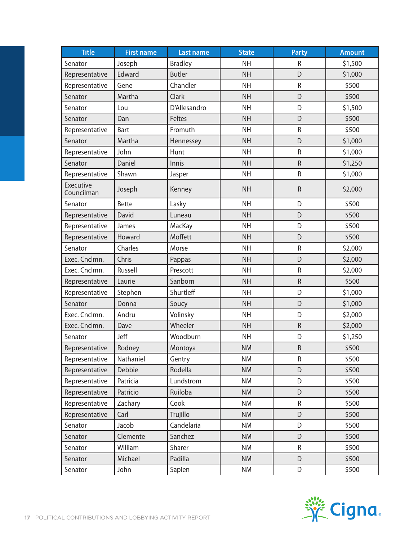| <b>Title</b>            | <b>First name</b> | <b>Last name</b> | <b>State</b> | <b>Party</b> | <b>Amount</b> |
|-------------------------|-------------------|------------------|--------------|--------------|---------------|
| Senator                 | Joseph            | <b>Bradley</b>   | <b>NH</b>    | R            | \$1,500       |
| Representative          | Edward            | <b>Butler</b>    | <b>NH</b>    | D            | \$1,000       |
| Representative          | Gene              | Chandler         | <b>NH</b>    | ${\sf R}$    | \$500         |
| Senator                 | Martha            | Clark            | <b>NH</b>    | D            | \$500         |
| Senator                 | Lou               | D'Allesandro     | <b>NH</b>    | D            | \$1,500       |
| Senator                 | Dan               | Feltes           | <b>NH</b>    | D            | \$500         |
| Representative          | Bart              | Fromuth          | <b>NH</b>    | $\mathsf R$  | \$500         |
| Senator                 | Martha            | Hennessey        | <b>NH</b>    | D            | \$1,000       |
| Representative          | John              | Hunt             | <b>NH</b>    | $\sf R$      | \$1,000       |
| Senator                 | Daniel            | Innis            | <b>NH</b>    | $\mathsf R$  | \$1,250       |
| Representative          | Shawn             | Jasper           | <b>NH</b>    | $\sf R$      | \$1,000       |
| Executive<br>Councilman | Joseph            | Kenney           | <b>NH</b>    | $\mathsf R$  | \$2,000       |
| Senator                 | <b>Bette</b>      | Lasky            | <b>NH</b>    | D            | \$500         |
| Representative          | David             | Luneau           | <b>NH</b>    | D            | \$500         |
| Representative          | James             | MacKay           | <b>NH</b>    | D            | \$500         |
| Representative          | Howard            | Moffett          | <b>NH</b>    | D            | \$500         |
| Senator                 | Charles           | Morse            | <b>NH</b>    | $\sf R$      | \$2,000       |
| Exec. Cnclmn.           | Chris             | Pappas           | <b>NH</b>    | D            | \$2,000       |
| Exec. Cnclmn.           | Russell           | Prescott         | <b>NH</b>    | ${\sf R}$    | \$2,000       |
| Representative          | Laurie            | Sanborn          | <b>NH</b>    | ${\sf R}$    | \$500         |
| Representative          | Stephen           | Shurtleff        | <b>NH</b>    | D            | \$1,000       |
| Senator                 | Donna             | Soucy            | <b>NH</b>    | D            | \$1,000       |
| Exec. Cnclmn.           | Andru             | Volinsky         | <b>NH</b>    | D            | \$2,000       |
| Exec. Cnclmn.           | Dave              | Wheeler          | <b>NH</b>    | ${\sf R}$    | \$2,000       |
| Senator                 | Jeff              | Woodburn         | <b>NH</b>    | D            | \$1,250       |
| Representative          | Rodney            | Montoya          | <b>NM</b>    | ${\sf R}$    | \$500         |
| Representative          | Nathaniel         | Gentry           | <b>NM</b>    | R            | \$500         |
| Representative          | Debbie            | Rodella          | <b>NM</b>    | D            | \$500         |
| Representative          | Patricia          | Lundstrom        | <b>NM</b>    | D            | \$500         |
| Representative          | Patricio          | Ruiloba          | <b>NM</b>    | D            | \$500         |
| Representative          | Zachary           | Cook             | <b>NM</b>    | R            | \$500         |
| Representative          | Carl              | Trujillo         | <b>NM</b>    | D            | \$500         |
| Senator                 | Jacob             | Candelaria       | <b>NM</b>    | D            | \$500         |
| Senator                 | Clemente          | Sanchez          | <b>NM</b>    | D            | \$500         |
| Senator                 | William           | Sharer           | <b>NM</b>    | R            | \$500         |
| Senator                 | Michael           | Padilla          | <b>NM</b>    | D            | \$500         |
| Senator                 | John              | Sapien           | <b>NM</b>    | D            | \$500         |

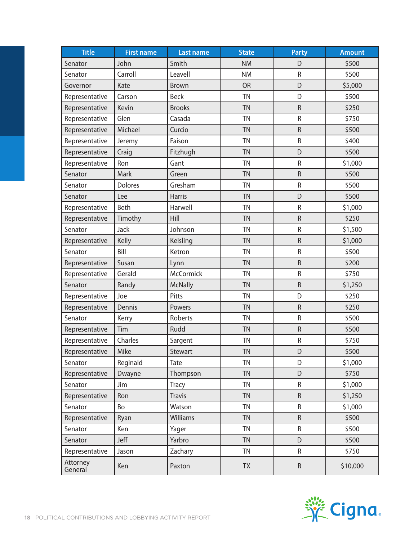| <b>Title</b>        | <b>First name</b> | <b>Last name</b> | <b>State</b> | <b>Party</b> | <b>Amount</b> |
|---------------------|-------------------|------------------|--------------|--------------|---------------|
| Senator             | John              | Smith            | <b>NM</b>    | D            | \$500         |
| Senator             | Carroll           | Leavell          | <b>NM</b>    | $\mathsf R$  | \$500         |
| Governor            | Kate              | Brown            | <b>OR</b>    | D            | \$5,000       |
| Representative      | Carson            | <b>Beck</b>      | <b>TN</b>    | D            | \$500         |
| Representative      | Kevin             | <b>Brooks</b>    | <b>TN</b>    | ${\sf R}$    | \$250         |
| Representative      | Glen              | Casada           | <b>TN</b>    | $\mathsf R$  | \$750         |
| Representative      | Michael           | Curcio           | <b>TN</b>    | $\mathsf R$  | \$500         |
| Representative      | Jeremy            | Faison           | <b>TN</b>    | ${\sf R}$    | \$400         |
| Representative      | Craig             | Fitzhugh         | <b>TN</b>    | D            | \$500         |
| Representative      | Ron               | Gant             | <b>TN</b>    | $\mathsf R$  | \$1,000       |
| Senator             | Mark              | Green            | <b>TN</b>    | $\mathsf R$  | \$500         |
| Senator             | Dolores           | Gresham          | <b>TN</b>    | ${\sf R}$    | \$500         |
| Senator             | Lee               | <b>Harris</b>    | <b>TN</b>    | D            | \$500         |
| Representative      | Beth              | Harwell          | <b>TN</b>    | ${\sf R}$    | \$1,000       |
| Representative      | Timothy           | Hill             | <b>TN</b>    | $\mathsf R$  | \$250         |
| Senator             | Jack              | Johnson          | <b>TN</b>    | $\mathsf R$  | \$1,500       |
| Representative      | Kelly             | Keisling         | <b>TN</b>    | ${\sf R}$    | \$1,000       |
| Senator             | Bill              | Ketron           | <b>TN</b>    | R            | \$500         |
| Representative      | Susan             | Lynn             | <b>TN</b>    | ${\sf R}$    | \$200         |
| Representative      | Gerald            | <b>McCormick</b> | <b>TN</b>    | ${\sf R}$    | \$750         |
| Senator             | Randy             | <b>McNally</b>   | <b>TN</b>    | $\mathsf R$  | \$1,250       |
| Representative      | Joe               | Pitts            | <b>TN</b>    | D            | \$250         |
| Representative      | Dennis            | Powers           | <b>TN</b>    | ${\sf R}$    | \$250         |
| Senator             | Kerry             | Roberts          | <b>TN</b>    | R            | \$500         |
| Representative      | Tim               | Rudd             | <b>TN</b>    | ${\sf R}$    | \$500         |
| Representative      | Charles           | Sargent          | <b>TN</b>    | ${\sf R}$    | \$750         |
| Representative      | Mike              | Stewart          | TN           | D            | \$500         |
| Senator             | Reginald          | Tate             | <b>TN</b>    | D            | \$1,000       |
| Representative      | Dwayne            | Thompson         | <b>TN</b>    | D            | \$750         |
| Senator             | Jim               | <b>Tracy</b>     | <b>TN</b>    | R            | \$1,000       |
| Representative      | Ron               | <b>Travis</b>    | <b>TN</b>    | $\mathsf R$  | \$1,250       |
| Senator             | Bo                | Watson           | <b>TN</b>    | R            | \$1,000       |
| Representative      | Ryan              | Williams         | <b>TN</b>    | ${\sf R}$    | \$500         |
| Senator             | Ken               | Yager            | <b>TN</b>    | R            | \$500         |
| Senator             | Jeff              | Yarbro           | <b>TN</b>    | D            | \$500         |
| Representative      | Jason             | Zachary          | TN           | R            | \$750         |
| Attorney<br>General | Ken               | Paxton           | <b>TX</b>    | ${\sf R}$    | \$10,000      |

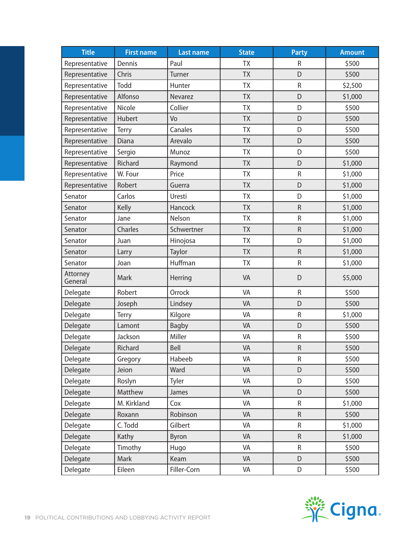| <b>Title</b>        | <b>First name</b> | <b>Last name</b> | <b>State</b> | <b>Party</b> | <b>Amount</b> |
|---------------------|-------------------|------------------|--------------|--------------|---------------|
| Representative      | Dennis            | Paul             | <b>TX</b>    | R            | \$500         |
| Representative      | Chris             | Turner           | <b>TX</b>    | D            | \$500         |
| Representative      | Todd              | Hunter           | <b>TX</b>    | ${\sf R}$    | \$2,500       |
| Representative      | Alfonso           | Nevarez          | <b>TX</b>    | D            | \$1,000       |
| Representative      | Nicole            | Collier          | <b>TX</b>    | D            | \$500         |
| Representative      | <b>Hubert</b>     | Vo               | <b>TX</b>    | D            | \$500         |
| Representative      | Terry             | Canales          | <b>TX</b>    | D            | \$500         |
| Representative      | Diana             | Arevalo          | <b>TX</b>    | D            | \$500         |
| Representative      | Sergio            | Munoz            | <b>TX</b>    | D            | \$500         |
| Representative      | Richard           | Raymond          | <b>TX</b>    | D            | \$1,000       |
| Representative      | W. Four           | Price            | TX           | R            | \$1,000       |
| Representative      | Robert            | Guerra           | <b>TX</b>    | D            | \$1,000       |
| Senator             | Carlos            | Uresti           | <b>TX</b>    | D            | \$1,000       |
| Senator             | Kelly             | Hancock          | <b>TX</b>    | $\mathsf R$  | \$1,000       |
| Senator             | Jane              | Nelson           | TX           | ${\sf R}$    | \$1,000       |
| Senator             | Charles           | Schwertner       | <b>TX</b>    | $\mathsf R$  | \$1,000       |
| Senator             | Juan              | Hinojosa         | <b>TX</b>    | D            | \$1,000       |
| Senator             | Larry             | Taylor           | <b>TX</b>    | $\mathsf R$  | \$1,000       |
| Senator             | Joan              | Huffman          | TX           | ${\sf R}$    | \$1,000       |
| Attorney<br>General | Mark              | Herring          | VA           | D            | \$5,000       |
| Delegate            | Robert            | Orrock           | VA           | $\mathsf R$  | \$500         |
| Delegate            | Joseph            | Lindsey          | VA           | D            | \$500         |
| Delegate            | <b>Terry</b>      | Kilgore          | VA           | ${\sf R}$    | \$1,000       |
| Delegate            | Lamont            | <b>Bagby</b>     | VA           | D            | \$500         |
| Delegate            | Jackson           | Miller           | VA           | ${\sf R}$    | \$500         |
| Delegate            | Richard           | Bell             | VA           | $\mathsf R$  | \$500         |
| Delegate            | Gregory           | Habeeb           | VA           | R            | \$500         |
| Delegate            | Jeion             | Ward             | VA           | D            | \$500         |
| Delegate            | Roslyn            | Tyler            | VA           | D            | \$500         |
| Delegate            | Matthew           | James            | VA           | D            | \$500         |
| Delegate            | M. Kirkland       | Cox              | VA           | R            | \$1,000       |
| Delegate            | Roxann            | Robinson         | VA           | $\mathsf R$  | \$500         |
| Delegate            | C. Todd           | Gilbert          | VA           | ${\sf R}$    | \$1,000       |
| Delegate            | Kathy             | Byron            | VA           | R            | \$1,000       |
| Delegate            | Timothy           | Hugo             | VA           | R            | \$500         |
| Delegate            | Mark              | Keam             | VA           | D            | \$500         |
| Delegate            | Eileen            | Filler-Corn      | VA           | D            | \$500         |

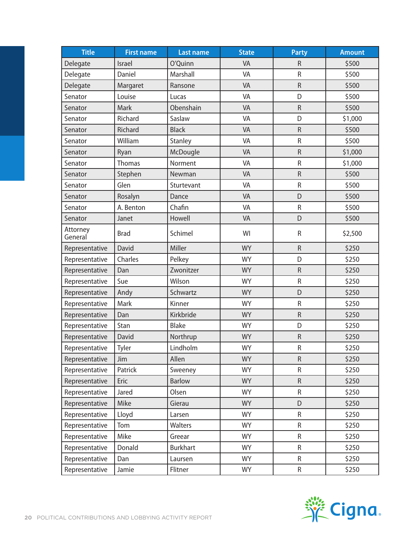| <b>Title</b>        | <b>First name</b> | <b>Last name</b> | <b>State</b> | <b>Party</b> | <b>Amount</b> |
|---------------------|-------------------|------------------|--------------|--------------|---------------|
| Delegate            | Israel            | O'Quinn          | VA           | R            | \$500         |
| Delegate            | Daniel            | Marshall         | VA           | R            | \$500         |
| Delegate            | Margaret          | Ransone          | VA           | $\mathsf R$  | \$500         |
| Senator             | Louise            | Lucas            | VA           | D            | \$500         |
| Senator             | Mark              | Obenshain        | VA           | ${\sf R}$    | \$500         |
| Senator             | Richard           | Saslaw           | VA           | D            | \$1,000       |
| Senator             | Richard           | <b>Black</b>     | VA           | ${\sf R}$    | \$500         |
| Senator             | William           | Stanley          | VA           | $\sf R$      | \$500         |
| Senator             | Ryan              | McDougle         | VA           | $\mathsf R$  | \$1,000       |
| Senator             | <b>Thomas</b>     | Norment          | VA           | $\mathsf R$  | \$1,000       |
| Senator             | Stephen           | Newman           | VA           | ${\sf R}$    | \$500         |
| Senator             | Glen              | Sturtevant       | VA           | ${\sf R}$    | \$500         |
| Senator             | Rosalyn           | Dance            | VA           | D            | \$500         |
| Senator             | A. Benton         | Chafin           | VA           | ${\sf R}$    | \$500         |
| Senator             | Janet             | Howell           | VA           | D            | \$500         |
| Attorney<br>General | <b>Brad</b>       | Schimel          | WI           | ${\sf R}$    | \$2,500       |
| Representative      | David             | Miller           | <b>WY</b>    | $\mathsf R$  | \$250         |
| Representative      | Charles           | Pelkey           | <b>WY</b>    | D            | \$250         |
| Representative      | Dan               | Zwonitzer        | <b>WY</b>    | $\mathsf R$  | \$250         |
| Representative      | Sue               | Wilson           | <b>WY</b>    | ${\sf R}$    | \$250         |
| Representative      | Andy              | Schwartz         | <b>WY</b>    | D            | \$250         |
| Representative      | Mark              | Kinner           | <b>WY</b>    | ${\sf R}$    | \$250         |
| Representative      | Dan               | Kirkbride        | <b>WY</b>    | $\mathsf R$  | \$250         |
| Representative      | Stan              | <b>Blake</b>     | <b>WY</b>    | D            | \$250         |
| Representative      | David             | Northrup         | <b>WY</b>    | ${\sf R}$    | \$250         |
| Representative      | Tyler             | Lindholm         | <b>WY</b>    | ${\sf R}$    | \$250         |
| Representative      | Jim               | Allen            | <b>WY</b>    | ${\sf R}$    | \$250         |
| Representative      | Patrick           | Sweeney          | <b>WY</b>    | R            | \$250         |
| Representative      | Eric              | <b>Barlow</b>    | <b>WY</b>    | ${\sf R}$    | \$250         |
| Representative      | Jared             | Olsen            | <b>WY</b>    | ${\sf R}$    | \$250         |
| Representative      | Mike              | Gierau           | <b>WY</b>    | D            | \$250         |
| Representative      | Lloyd             | Larsen           | <b>WY</b>    | R            | \$250         |
| Representative      | Tom               | Walters          | <b>WY</b>    | $\mathsf R$  | \$250         |
| Representative      | Mike              | Greear           | <b>WY</b>    | R            | \$250         |
| Representative      | Donald            | <b>Burkhart</b>  | <b>WY</b>    | R            | \$250         |
| Representative      | Dan               | Laursen          | <b>WY</b>    | $\mathsf{R}$ | \$250         |
| Representative      | Jamie             | Flitner          | <b>WY</b>    | R            | \$250         |

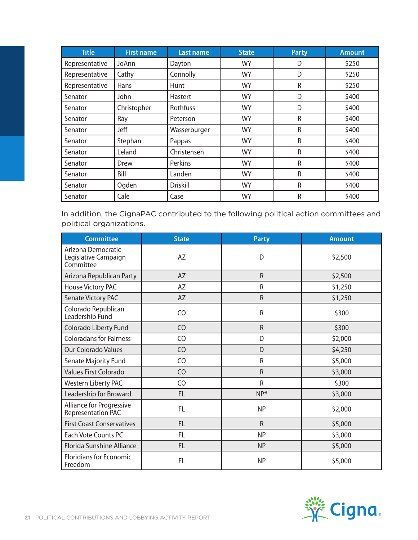| <b>Title</b>   | <b>First name</b> | <b>Last name</b> | <b>State</b> | <b>Party</b> | <b>Amount</b> |
|----------------|-------------------|------------------|--------------|--------------|---------------|
| Representative | JoAnn             | Dayton           | <b>WY</b>    | D            | \$250         |
| Representative | Cathy             | Connolly         | <b>WY</b>    | D            | \$250         |
| Representative | Hans              | Hunt             | <b>WY</b>    | ${\sf R}$    | \$250         |
| Senator        | John              | Hastert          | <b>WY</b>    | D            | \$400         |
| Senator        | Christopher       | Rothfuss         | <b>WY</b>    | D            | \$400         |
| Senator        | Ray               | Peterson         | <b>WY</b>    | R            | \$400         |
| Senator        | Jeff              | Wasserburger     | <b>WY</b>    | $\mathsf{R}$ | \$400         |
| Senator        | Stephan           | Pappas           | <b>WY</b>    | R            | \$400         |
| Senator        | Leland            | Christensen      | <b>WY</b>    | $\mathsf{R}$ | \$400         |
| Senator        | Drew              | Perkins          | <b>WY</b>    | $\mathsf R$  | \$400         |
| Senator        | Bill              | Landen           | <b>WY</b>    | $\mathsf{R}$ | \$400         |
| Senator        | Ogden             | <b>Driskill</b>  | <b>WY</b>    | $\mathsf{R}$ | \$400         |
| Senator        | Cale              | Case             | <b>WY</b>    | R            | \$400         |

In addition, the CignaPAC contributed to the following political action committees and political organizations.

| <b>Committee</b>                                        | <b>State</b>   | <b>Party</b> | <b>Amount</b> |
|---------------------------------------------------------|----------------|--------------|---------------|
| Arizona Democratic<br>Legislative Campaign<br>Committee | AZ             | D            | \$2,500       |
| Arizona Republican Party                                | AZ             | $\mathsf{R}$ | \$2,500       |
| House Victory PAC                                       | AZ             | R            | \$1,250       |
| Senate Victory PAC                                      | <b>AZ</b>      | R            | \$1,250       |
| Colorado Republican<br>Leadership Fund                  | CO             | R            | \$300         |
| Colorado Liberty Fund                                   | C <sub>O</sub> | $\mathsf{R}$ | \$300         |
| <b>Coloradans for Fairness</b>                          | C <sub>O</sub> | D            | \$2,000       |
| <b>Our Colorado Values</b>                              | CO             | D            | \$4,250       |
| Senate Majority Fund                                    | C <sub>O</sub> | R            | \$5,000       |
| Values First Colorado                                   | CO             | $\mathsf{R}$ | \$3,000       |
| Western Liberty PAC                                     | C <sub>O</sub> | R            | \$300         |
| Leadership for Broward                                  | FL             | $NP^*$       | \$3,000       |
| Alliance for Progressive<br><b>Representation PAC</b>   | FL             | <b>NP</b>    | \$2,000       |
| <b>First Coast Conservatives</b>                        | FL             | $\mathsf{R}$ | \$5,000       |
| Each Vote Counts PC                                     | <b>FL</b>      | <b>NP</b>    | \$3,000       |
| Florida Sunshine Alliance                               | <b>FL</b>      | <b>NP</b>    | \$5,000       |
| <b>Floridians for Economic</b><br>Freedom               | <b>FL</b>      | <b>NP</b>    | \$5,000       |

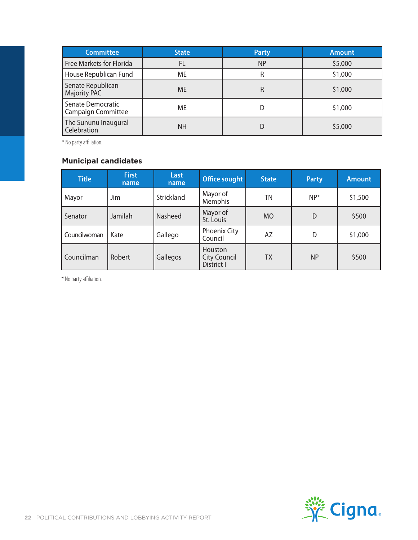| <b>Committee</b>                         | <b>State</b> | <b>Party</b> | <b>Amount</b> |
|------------------------------------------|--------------|--------------|---------------|
| <b>Free Markets for Florida</b>          | FL           | <b>NP</b>    | \$5,000       |
| House Republican Fund                    | ME           |              | \$1,000       |
| Senate Republican<br><b>Majority PAC</b> | <b>ME</b>    | R            | \$1,000       |
| Senate Democratic<br>Campaign Committee  | ME           |              | \$1,000       |
| The Sununu Inaugural<br>Celebration      | <b>NH</b>    |              | \$5,000       |

\* No party affiliation.

#### **Municipal candidates**

| <b>Title</b> | <b>First</b><br>name | Last<br>name      | <b>Office sought</b>                         | <b>State</b> | <b>Party</b> | <b>Amount</b> |
|--------------|----------------------|-------------------|----------------------------------------------|--------------|--------------|---------------|
| Mayor        | Jim                  | <b>Strickland</b> | Mayor of<br>Memphis                          | TΝ           | $NP^*$       | \$1,500       |
| Senator      | Jamilah              | <b>Nasheed</b>    | Mayor of<br>St. Louis                        | <b>MO</b>    | D            | \$500         |
| Councilwoman | Kate                 | Gallego           | <b>Phoenix City</b><br>Council               | AΖ           | D            | \$1,000       |
| l Councilman | Robert               | Gallegos          | Houston<br><b>City Council</b><br>District I | ТX           | <b>NP</b>    | \$500         |

\* No party affiliation.